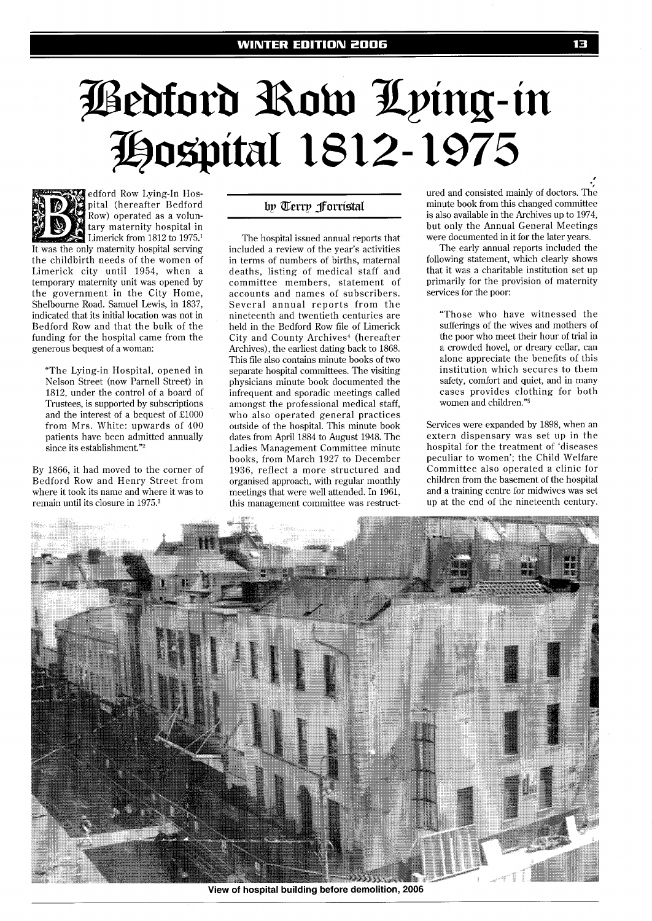# <u> Pedford Row Lying-in</u><br>Hospital 1812-1975



edford Row Lying-In Hospital (hereafter Bedford Row) operated as a voluntary maternity hospital in Limerick from 1812 to 1975.<sup>1</sup>

It was the only maternity hospital serving the childbirth needs of the women of Limerick city until 1954, when a temporary maternity unit was opened by the government in the City Home, Shelbourne Road. Samuel Lewis, in 1837, indicated that its initial location was not in Bedford Row and that the bulk of the funding for the hospital came from the generous bequest of a woman:

"The Lying-in Hospital, opened in Nelson Street (now Parnell Street) in 1812, under the control of a board of Trustees, is supported by subscriptions and the interest of a bequest of £1000 from Mrs. White: upwards of 400 patients have been admitted annually since its establishment."<sup>2</sup>

By 1866, it had moved to the corner of Bedford Row and Henry Street from where it took its name and where it was to remain until its closure in 1975.3

# by Terry forristal

The hospital issued annual reports that included a review of the year's activities in terms of numbers of births, maternal deaths, listing of medical staff and committee members, statement of accounts and names of subscribers. Several annual reports from the nineteenth and twentieth centuries are held in the Bedford Row file of Limerick City and County Archives<sup>4</sup> (hereafter Archives), the earliest dating back to 1868. This file also contains minute books of two separate hospital committees. The visiting physicians minute book documented the infrequent and sporadic meetings called amongst the professional medical staff, who also operated general practices outside of the hospital. This minute book dates from April 1884 to August 1948. The Ladies Management Committee minute books, from March 1927 to December 1936, reflect a more structured and organised approach, with regular monthly meetings that were well attended. In 1961, this management committee was restruct-

ured and consisted mainly of doctors. The minute book from this changed committee is also available in the Archives up to 1974, but only the Annual General Meetings were documented in it for the later years.

The early annual reports included the following statement, which clearly shows that it was a charitable institution set up primarily for the provision of maternity services for the poor:

"Those who have witnessed the sufferings of the wives and mothers of the poor who meet their hour of trial in a crowded hovel, or dreary cellar, can alone appreciate the benefits of this institution which secures to them safety, comfort and quiet, and in many cases provides clothing for both women and children."5

Services were expanded by 1898, when an extern dispensary was set up in the hospital for the treatment of 'diseases peculiar to women'; the Child Welfare Committee also operated a clinic for children from the basement of the hospital and a training centre for midwives was set up at the end of the nineteenth century.



**View of hospital building before demolition, 2006**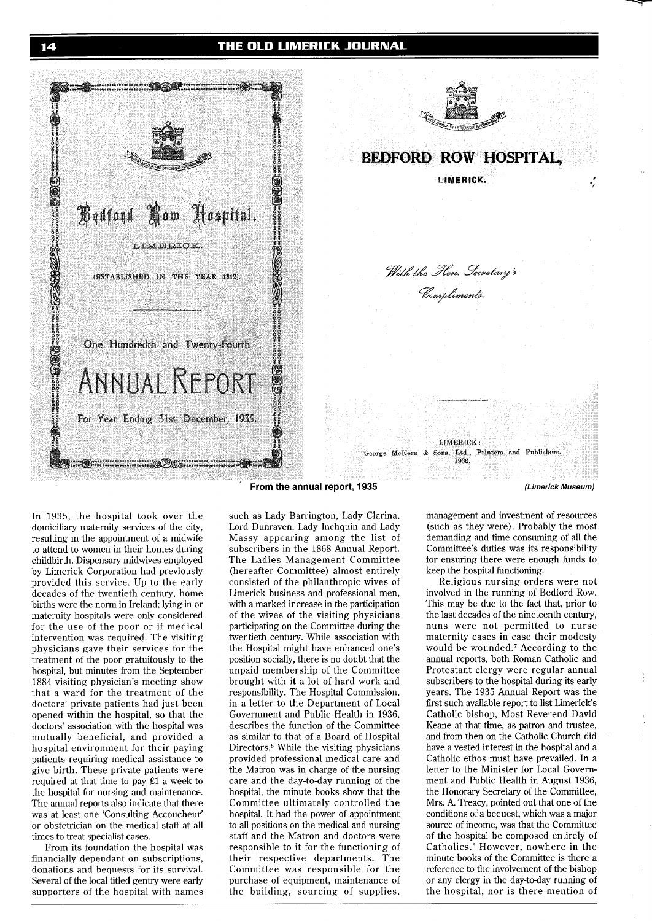## THE OLD LIMERICK JOURNAL





**BEDFORD ROW HOSPITAL. LIMERICK.** 

> With the Hon. Gevetary's Compliments.

**LIMERICK** George McKern & Sons, Ltd., Printers and Publishers. 1936

In 1935, the hospital took over the domiciliary maternity services of the city, resulting in the appointment of a midwife to attend to women in their homes during childbirth. Dispensary midwives employed by Limerick Corporation had previously provided this service. Up to the early decades of the twentieth century, home births were the norm in Ireland; lying-in or maternity hospitals were only considered for the use of the poor or if medical intervention was required. The visiting physicians gave their services for the treatment of the poor gratuitously to the hospital, but minutes from the September 1884 visiting physician's meeting show that a ward for the treatment of the doctors' private patients had just been opened within the hospital, so that the doctors' association with the hospital was mutually beneficial, and provided a hospital environment for their paying patients requiring medical assistance to give birth. These private patients were required at that time to pay El a week to the hospital for nursing and maintenance. The annual reports also indicate that there was at least one 'Consulting Accoucheur' or obstetrician on the medical staff at all times to treat specialist cases.

From its foundation the hospital was financially dependant on subscriptions, donations and bequests for its survival. Several of the local titled gentry were early supporters of the hospital with names

### **From the annual report, 1935 (Limerick Museum)**

such as Lady Barrington, Lady Clarina, Lord Dunraven, Lady Inchquin and Lady Massy appearing among the list of subscribers in the 1868 Annual Report. The Ladies Management Committee (hereafter Committee) almost entirely consisted of the philanthropic wives of Limerick business and professional men, with a marked increase in the participation of the wives of the visiting physicians participating on the Committee during the twentieth century. While association with the Hospital might have enhanced one's position socially, there is no doubt that the unpaid membership of the Committee brought with it a lot of hard work and responsibility. The Hospital Commission, in a letter to the Department of Local Government and Public Health in 1936, describes the function of the Committee as similar to that of a Board of Hospital Directors. $6$  While the visiting physicians provided professional medical care and the Matron was in charge of the nursing care and the day-to-day running of the hospital, the minute books show that the Committee ultimately controlled the hospital. It had the power of appointment to all positions on the medical and nursing staff and the Matron and doctors were responsible to it for the functioning of their respective departments. The Committee was responsible for the purchase of equipment, maintenance of the building, sourcing of supplies,

management and investment of resources (such as they were). Probably the most demanding and time consuming of all the Committee's duties was its responsibility for ensuring there were enough funds to keep the hospital functioning.

Religious nursing orders were not involved in the running of Bedford Row. This may be due to the fact that, prior to the last decades of the nineteenth century, nuns were not permitted to nurse maternity cases in case their modesty would be wounded.7 According to the annual reports, both Roman Catholic and Protestant clergy were regular annual subscribers to the hospital during its early years. The 1935 Annual Report was the first such available report to list Limerick's Catholic bishop, Most Reverend David Keane at that time, as patron and trustee, and from then on the Catholic Church did have a vested interest in the hospital and a Catholic ethos must have prevailed. In a letter to the Minister for Local Government and Public Health in August 1936, the Honorary Secretary of the Committee, Mrs. A. Treacy, pointed out that one of the conditions of a bequest, which was a major source of income, was that the Committee of the hospital be composed entirely of Catholics.8 However, nowhere in the minute books of the Committee is there a reference to the involvement of the bishop or any clergy in the day-to-day running of the hospital, nor is there mention of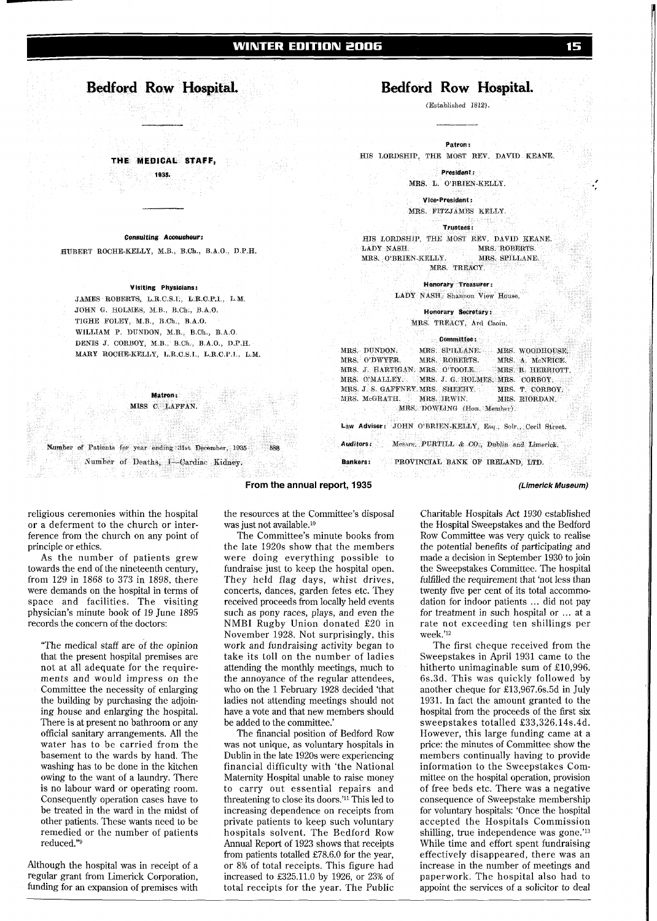# **Bedford Row Hospital.**

THE MEDICAL STAFF 1025

### **Con?~ultmg Acooucheur:**

**BUBERT** ROCHE-KELLY, M B, B Oh, B A 0, **D** I? H.

### **Visiting Physicians:**

**JAMES** ROBBXTS, L R C.8 I., L R C.P.1 L **X**  JOHN G. HOLMES, M.B., B.Ch., B.A.O. TIGHE FOLEY, M **B** B Ch **RAO**. WILLIAM P. DUNDON, M.B., B.Ch., B.A.O. DENIS **J** CORROY, M B , B Ch , <sup>B</sup>**A** O., **D P l3**  YARY ROCHP-ICELLY, **13.R** C S I , **L** R **C** P **I** L **M** 

> Matron. MISS C. LAFFAN.

Number of Patients for year ending 31st December. 1935

a Adirët e Shi

Number of Deaths, 1-Cardiac Kidney.

religious ceremonies within the hospital or a deferment to the church or interference from the church on any point of principle or ethics.

As the number of patients grew towards the end of the nineteenth century, from 129 in 1868 to 373 in 1898, there were demands on the hospital in terms of space and facilities. The visiting physician's minute book of 19 June 1895 records the concern of the doctors:

"The medical staff are of the opinion that the present hospital premises are not at all adequate for the requirements and would impress on the Committee the necessity of enlarging the building by purchasing the adjoining house and enlarging the hospital. There is at present no bathroom or any official sanitary arrangements. All the water has to be carried from the basement to the wards by hand. The washing has to be done in the kitchen owing to the want of a laundry. There is no labour ward or operating room. Consequently operation cases have to be treated in the ward in the midst of other patients. These wants need to be remedied or the number of patients reduced."g

Although the hospital was in receipt of a regular grant from Limerick Corporation, funding for an expansion of premises with

the resources at the Committee's disposal was just not available.10

**From the annual report, 1935** 

The Committee's minute books from the late 1920s show that the members were doing everything possible to fundraise just to keep the hospital open. They held flag days, whist drives, concerts, dances, garden fetes etc. They received proceeds from locally held events such as pony races, plays, and even the NMBI Rugby Union donated £20 in November 1928. Not surprisingly, this work and fundraising activity began to take its toll on the number of ladies attending the monthly meetings, much to the annoyance of the regular attendees, who on the 1 February 1928 decided 'that ladies not attending meetings should not have a vote and that new members should be added to the committee.'

The financial position of Bedford Row was not unique, as voluntary hospitals in Dublin in the late 1920s were experiencing financial difficulty with 'the National Maternity Hospital unable to raise money to carry out essential repairs and threatening to close its doors.'<sup>11</sup> This led to increasing dependence on receipts from private patients to keep such voluntary hospitals solvent. The Bedford Row Annual Report of 1923 shows that receipts from patients totalled £78.6.0 for the year, or 8% of total receipts. This figure had increased to £325.11.0 by 1926, or 23% of total receipts for the year. The Public

# **edford Row Hospital.**

(Established 1812).

Patron:

HIS LORDSHIP, THE MOST REV. DAVID KEANE.

President : MRS. L. O'BRIEN-KELLY.

Vice-President: MRS, FITZJAMES KELLY.

Trustees:

HIS LORDSHIP, THE MOST REV. DAVID KEANE. LADY NASH. MRS. ROBERTS. MRS. O'BRIEN-KELLY. MRS. SPILLANE. MRS. TREACY.

Honorary Treasurer:

LADY NASH, Shanpon View House,

Honorary Secretary: MRS. TREACY, Ard Caoin.

### Committee:

MRS. DUNDON. MRS. SPILLANE. MRS O'DWYER MRS ROBERTS MRS. J. HARTIGAN, MRS. O'TOOLE. MRS. O'MALLEY. MRS. J. G. HOLMES MRS. CORBOY MRS. J. S. GAFFNEY MRS. SHEEHY. MRS. McGRATH. MRS. TRWIN. MRS. DOWLING (Hon. Member).

MRS. WOODHOUSE MRS. A. McNEICE. MRS. R. HERRIOTT. MRS. T. CORBOY MRS. RIORDAN.

Law Adviser: JOHN O'BRIEN-KELLY, Esq., Solr., Cecil Street. Messrs. PURTILL & CO., Dublin and Limerick, Auditors:

PROVINCIAL BANK OF IRELAND. I/ID. **Bankers:** 

**(Limerick Museum)** 

Charitable Hospitals Act 1930 established the Hospital Sweepstakes and the Bedford Row Committee was very quick to realise the potential benefits of participating and made a decision in September 1930 to join the Sweepstakes Committee. The hospital fulfilled the requirement that 'not less than twenty five per cent of its total accommodation for indoor patients ... did not pay for treatment in such hospital or ... at a rate not exceeding ten shillings per week.'l2

The first cheque received from the Sweepstakes in April 1931 came to the hitherto unimaginable sum of £10,996. 6s.3d. This was quickly followed by another cheque for 213,967.6s.5d in July 1931. In fact the amount granted to the hospital from the proceeds of the first six sweepstakes totalled £33,326.14s.4d. However, this large funding came at a price: the minutes of Committee show the members continually having to provide information to the Sweepstakes Committee on the hospital operation, provision of free beds etc. There was a negative consequence of Sweepstake membership for voluntary hospitals: 'Once the hospital accepted the Hospitals Commission shilling, true independence was gone.'<sup>13</sup> While time and effort spent fundraising effectively disappeared, there was an increase in the number of meetings and paperwork. The hospital also had to appoint the services of a solicitor to deal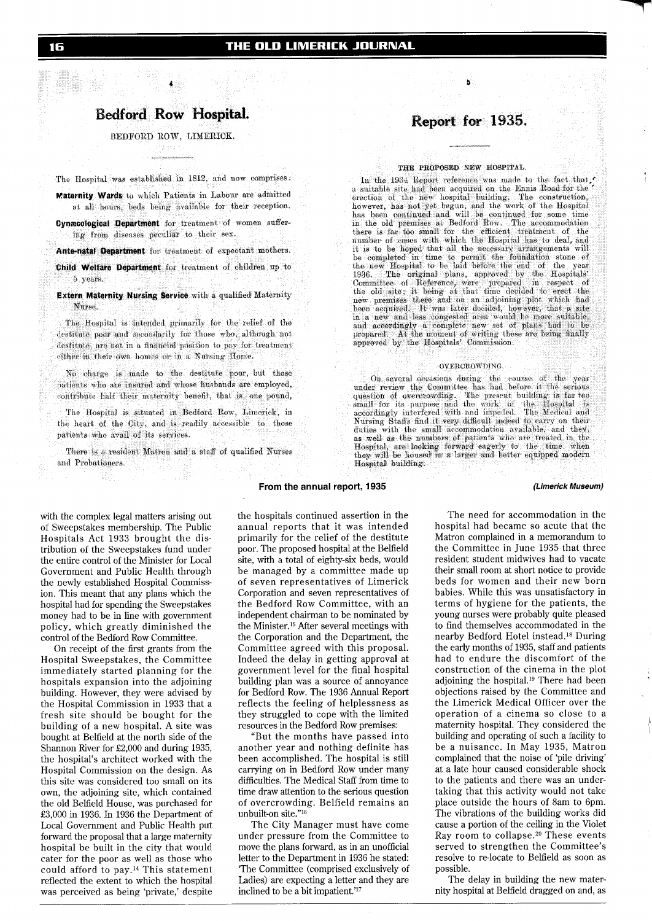# **Bedford Row Hospital.**

BEDFORD ROW, LIMERICK.

The Hospital was established in 1812, and now comprises:

Maternity Wards to which Patients in Labour are admitted at all hours, beds being available for their reception.

Cynæcological Department for treatment of women suffering from diseases peculiar to their sex.

Ante-natal Department for treatment of expectant mothers.

Child Welfare Department for treatment of children up to 5 years.

Extern Maternity Nursing Service with a qualified Maternity Nurse

The Hospital is intended primarily for the relief of the destitute poor and secondarily for those who, although not destitute, are not in a financial position to pay for treatment either in their own homes or in a Nursing Home

No charge is made to the destitute poor, but those patients who are insured and whose husbands are employed, contribute half their maternity benefit, that is, one pound,

The Hospital is situated in Bedford Row, Limerick, in the heart of the City, and is readily accessible to those patients who avail of its services.

There is a resident Matron and a staff of qualified Nurses and Probationers.

# Report for 1935.

### THE PROPOSED NEW HOSPITAL.

In the 1934 Report reference was made to the fact that  $\prime$  a suitable site had been acquired on the Ennis Road for the erection of the new hospital building. The construction, however, has not yet begun, and the work of the Hospital<br>has been continued and will be continued for some time<br>in the old premises at Bedford Row. The accommodation<br>in the old premises at Bedford Row. The accommodation<br>th it is to be hoped that all the necessary arrangements will It is completed in time to permit the foundation stone of the new Hospital to be laid before the end of the year 1936. The original plans, approved by the Hospitals' Committee of Reference, were prepared in respect of the new premises there and on an adjoining plot which had been acquired. It was later decided, however, that a site in a new and less congested area would be more suitable, and accordingly a complete new set of plans had to be prepared. At the moment of writing these are being finally approved by the Hospitals' Commission.

### OVERCROWDING.

On several occasions during the course of the year under review the Committee has had before it the serious question of overcrowding. The present building is far too small for its purpose and the work of the Hospital is ac Nursing Staffs find it very difficult indeed to carry on their with the small accommodation available, and they, duties as well as the numbers of patients who are treated in the Hospital, are looking forward eagerly to the time when they will be housed in a larger and better equipped modern Hospital building.

### **(Limerick Museum)**

with the complex legal matters arising out of Sweepstakes membership. The Public Hospitals Act 1933 brought the distribution of the Sweepstakes fund under the entire control of the Minister for Local Government and Public Health through the newly established Hospital Commission. This meant that any plans which the hospital had for spending the Sweepstakes money had to be in line with government policy, which greatly diminished the control of the Bedford Row Committee.

On receipt of the first grants from the Hospital Sweepstakes, the Committee immediately started planning for the hospitals expansion into the adjoining building. However, they were advised by the Hospital Commission in 1933 that a fresh site should be bought for the building of a new hospital. A site was bought at Belfield at the north side of the Shannon River for £2,000 and during 1935, the hospital's architect worked with the Hospital Commission on the design. As this site was considered too small on its own, the adjoining site, which contained the old Belfield House, was purchased for £3,000 in 1936. In 1936 the Department of Local Government and Public Health put forward the proposal that a large maternity hospital be built in the city that would cater for the poor as well as those who could afford to pay.14 This statement reflected the extent to which the hospital was perceived as being 'private,' despite

the hospitals continued assertion in the annual reports that it was intended primarily for the relief of the destitute poor. The proposed hospital at the Belfield site, with a total of eighty-six beds, would be managed by a committee made up of seven representatives of Limerick Corporation and seven representatives of the Bedford Row Committee, with an independent chairman to be nominated by the Minister.<sup>15</sup> After several meetings with the Corporation and the Department, the Committee agreed with this proposal. Indeed the delay in getting approval at government level for the final hospital building plan was a source of annoyance for Bedford Row. The 1936 Annual Report reflects the feeling of helplessness as they struggled to cope with the limited resources in the Bedford Row premises:

**From the annual report, 1935** 

"But the months have passed into another year and nothing definite has been accomplished. The hospital is still carrying on in Bedford Row under many difficulties. The Medical Staff from time to time draw attention to the serious question of overcrowding. Belfield remains an unbuilt-on site."l6

The City Manager must have come under pressure from the Committee to move the plans forward, as in an unofficial letter to the Department in 1936 he stated: 'The Committee (comprised exclusively of Ladies) are expecting a letter and they are inclined to be a bit impatient.'<sup>17</sup>

The need for accommodation in the hospital had became so acute that the Matron complained in a memorandum to the Committee in June 1935 that three resident student midwives had to vacate their small room at short notice to provide beds for women and their new born babies. While this was unsatisfactory in terms of hygiene for the patients, the young nurses were probably quite pleased to find themselves accommodated in the nearby Bedford Hotel instead.18 During the early months of 1935, staff and patients had to endure the discomfort of the construction of the cinema in the plot adjoining the hospital.<sup>19</sup> There had been objections raised by the Committee and the Limerick Medical Officer over the operation of a cinema so close to a maternity hospital. They considered the <sup>i</sup> building and operating of such a facility to be a nuisance. In May 1935, Matron complained that the noise of 'pile driving' at a late hour caused considerable shock to the patients and there was an undertaking that this activity would not take place outside the hours of 8am to 6pm. The vibrations of the building works did cause a portion of the ceiling in the Violet Ray room to collapse.20 These events served to strengthen the Committee's resolve to re-locate to Belfield as soon as possible.

The delay in building the new maternity hospital at Belfield dragged on and, as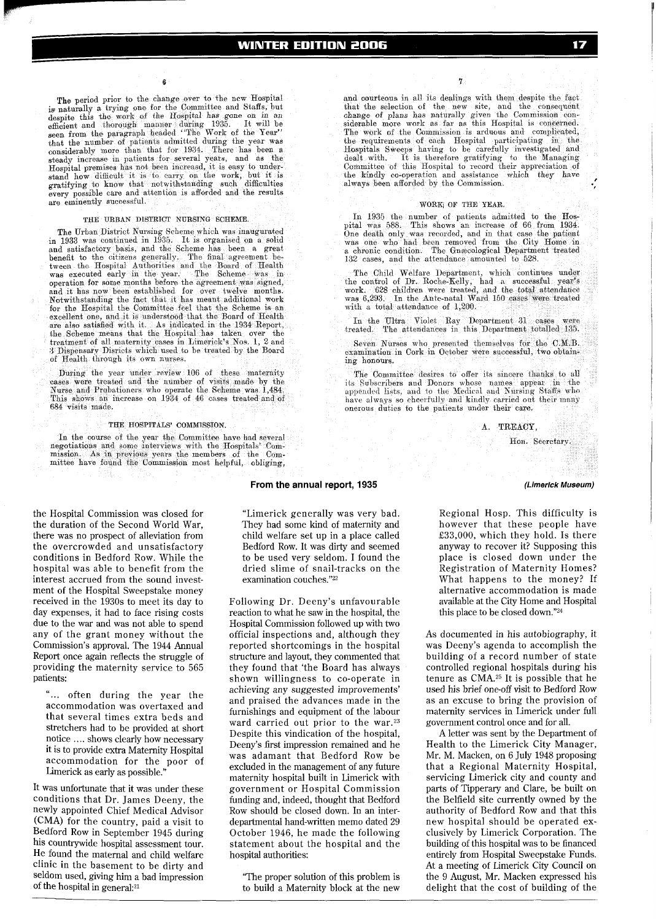The period prior to the change over to the new Hospital is naturally a trying one for the Committee and Staffs, but despite this the work of the Hospital has gone on in an efficient and thorough manner during 1935. It will be seen from the paragraph headed "The Work of the Year" It will he that the number of patients admitted during the year was<br>considerably more than that for 1934. There has been a steady increase in patients for several years, and as the Hospital premises has not been increased, it is easy to under-<br>stand how difficult it is to carry on the work, but it is<br>gratifying to know that notwithstanding such difficulties gratifying to know that notwithstanding such every possible care and attention is afforded and the results are eminently successful.

### THE URBAN DISTRICT NURSING SCHEME.

The Urban District Nursing Scheme which was inaugurated in 1933 was continued in 1935. It is organised on a solid<br>and satisfactory basis, and the Scheme has been a great benefit to the citizens generally. The final agreement be-<br>tween the Hospital Authorities and the Board of Health<br>was executed early in the year. The Scheme was in operation for some months before the agreement was signed, and it has now been established for over twelve months. Notwithstanding the fact that it has meant additional work<br>for the Hospital the Committee feel that the Scheme is an<br>excellent one, and it is understood that the Board of Health are also satisfied with it. As indicated in the 1934 Report, the Scheme means that the Hospital has taken over the treatment of all maternity cases in Limerick's Nos. 1, 2 and 3 Dispensary Disricts which used to be treated by the Board of Health through its own nurses.

During the year under review 106 of these maternity passes were treated and the number of visits made by the Nurse and Prebationers who operate the Scheme was 1,484. This shows an increase on 1934 of 46 cases treated and of 684 visits made.

### THE HOSPITALS' COMMISSION.

In the course of the year the Committee have had several regotiations and some interviews with the Hospitals' Com-<br>mission. As in previous years the members of the Com-<br>mission. As in previous years the members of the Com-<br>mittee have found the Commission most helpful, obliging,

the Hospital Commission was closed for the duration of the Second World War, there was no prospect of alleviation from the overcrowded and unsatisfactory conditions in Bedford Row. While the hospital was able to benefit from the interest accrued from the sound investment of the Hospital Sweepstake money received in the 1930s to meet its day to day expenses, it had to face rising costs due to the war and was not able to spend any of the grant money without the Commission's approval. The 1944 Annual Report once again reflects the struggle of providing the maternity service to 565 patients:

"... often during the year the accommodation was overtaxed and that several times extra beds and stretchers had to be provided at short notice .... shows clearly how necessary it is to provide extra Maternity Hospital accommodation for the poor of Limerick as early as possible.'

It was unfortunate that it was under these conditions that Dr. James Deeny, the newly appointed Chief Medical Advisor (CMA) for the country, paid a visit to Bedford Row in September 1945 during his countrywide hospital assessment tour. He found the maternal and child welfare clinic in the basement to be dirty and seldom used, giving him a bad impression of the hospital in general:<sup>21</sup>

From the annual report, 1935

"Limerick generally was very bad. They had some kind of maternity and child welfare set up in a place called Bedford Row. It was dirty and seemed to be used very seldom. I found the dried slime of snail-tracks on the examination couches."22

Following Dr. Deeny's unfavourable reaction to what he saw in the hospital, the Hospital Commission followed up with two official inspections and, although they reported shortcomings in the hospital structure and layout, they commented that they found that 'the Board has always shown willingness to co-operate in achieving any suggested improvements' and praised the advances made in the furnishings and equipment of the labour ward carried out prior to the war.<sup>23</sup> Despite this vindication of the hospital, Deeny's first impression remained and he was adamant that Bedford Row be excluded in the management of any future maternity hospital built in Limerick with government or Hospital Commission funding and, indeed, thought that Bedford Row should be closed down. In an interdepartmental hand-written memo dated 29 October 1946, he made the following statement about the hospital and the hospital authorities:

"The proper solution of this problem is to build a Maternity block at the new

and courteous in all its dealings with them despite the fact and the selection of the new site, and the consequent<br>that the selection of the new site, and the consequent<br>change of plans has naturally given the Commission con-<br>siderable more work as far as this Hospital is concerned. the requirements of each Hospital participating in the Hospitals Sweeps having to be carefully investigated and dealt with. It is therefore gratifying to the Managing dealt with. It is therefore gratifying to the Managing Committee of this Hospital to record their appreciation of the kindly co-operation and assistance which they have always been afforded by the Commission.

7

### WORK OF THE YEAR.

In 1935 the number of patients admitted to the Hospital was 588. This shows an increase of 66 from 1934.<br>One death only was recorded, and in that case the patient was one who had been removed from the City Home in a chronic condition. The Gnescological Department treated 132 cases, and the attendance amounted to 528.

The Child Welfare Department, which continues under<br>the control of Dr. Roche-Kelly, had a successful year's<br>work. 628 children were treated, and the total attendance<br>was 6,293. In the Ante-natal Ward 150 cases were treated with a total attendance of 1,200.

In the Ultra Violet Ray Department 31 cases were<br>cated. The attendances in this Department totalled 135. treated.

Seven Nurses who presented themselves for the C.M.B. examination in Cork in October were successful, two obtaining honours.

The Committee desires to offer its sincere thanks to all its Subscribers and Donors whose names appear in the appended lists, and to the Medical and Nursing Staffs who have always so cheerfully and kindly carried out their many onerous duties to the patients under their care.

### A. TREACY.

### Hon. Secretary.

### (Limerick Museum)

Regional Hosp. This difficulty is however that these people have £33,000, which they hold. Is there anyway to recover it? Supposing this place is closed down under the Registration of Maternity Homes? What happens to the money? If alternative accommodation is made available at the City Home and Hospital this place to be closed down."24

As documented in his autobiography, it was Deeny's agenda to accomplish the building of a record number of state controlled regional hospitals during his tenure as CMA.<sup>25</sup> It is possible that he used his brief one-off visit to Bedford Row as an excuse to bring the provision of maternity services in Limerick under full government control once and for all.

A letter was sent by the Department of Health to the Limerick City Manager, Mr. M. Macken, on 6 July 1948 proposing that a Regional Maternity Hospital, servicing Limerick city and county and parts of Tipperary and Clare, be built on the Belfield site currently owned by the authority of Bedford Row and that this new hospital should be operated exclusively by Limerick Corporation. The building of this hospital was to be financed entirely from Hospital Sweepstake Funds. At a meeting of Limerick City Council on the 9 August, Mr. Macken expressed his delight that the cost of building of the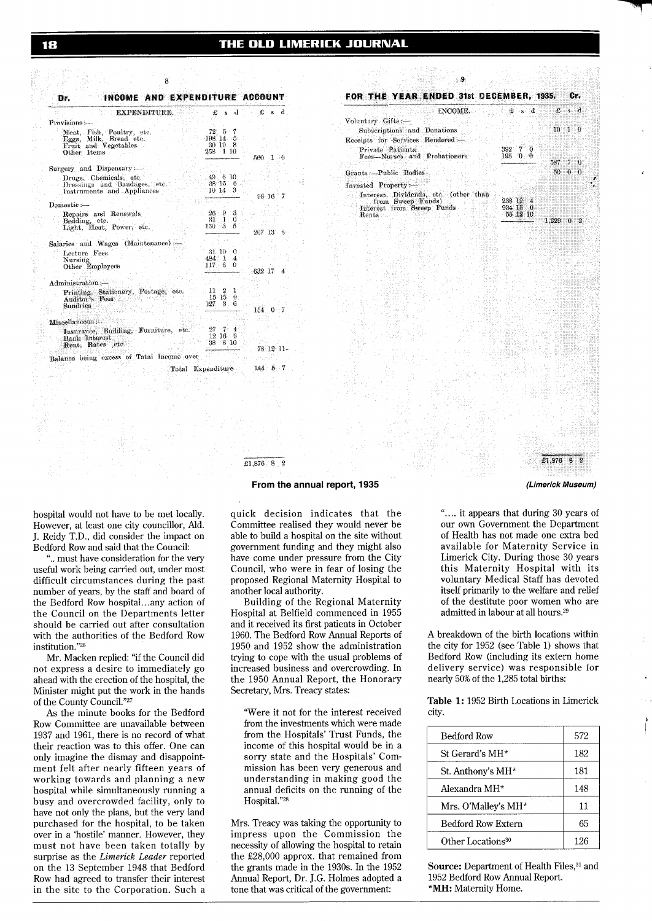| EXPENDITURE.                                                                               | £sd                                                             | £s<br>d.              |
|--------------------------------------------------------------------------------------------|-----------------------------------------------------------------|-----------------------|
| Provisions :-                                                                              |                                                                 |                       |
| Meat, Fish, Poultry, etc.<br>Eggs, Milk, Bread etc.<br>Fruit and Vegetables<br>Other Items | -72 5 7<br>198 14 5<br>30 19 8<br>258 1 10                      | $560 \quad 1 \quad 6$ |
| Surgery and Dispensary :-                                                                  |                                                                 |                       |
| Drugs, Chemicals, etc.<br>Dressings and Bandages, etc.<br>Instruments and Appliances       | 49.610<br>38'15'6<br>3<br>10 14                                 | 98 16                 |
| Domestic :-                                                                                |                                                                 |                       |
| Repairs and Renewals<br>Bedding, etc.<br>Light, Heat, Power, etc.                          | $26 - 9 - 3$<br>$31 \t10$<br>$150-3-5$                          | $207\,13\,8$ .        |
| Salaries and Wages (Maintenance) :-                                                        |                                                                 |                       |
| Lecture Fees.<br>Nursing<br>Other Employees                                                | 31. 10.<br>♦<br>484 1<br>$\mathcal{A}$<br>117 <sub>6</sub><br>0 | 632 17<br>4           |
| Administration:-                                                                           |                                                                 |                       |
| Printing, Stationery, Postage, etc.<br>Auditor's Fees<br>Sundries                          | 11<br>- 2<br>1<br>$15 \t15 \t0$<br>127<br>$3-6$                 | 154 0 7               |
| Miscellaneous :-                                                                           |                                                                 |                       |
| Insurance, Building, Furniture, etc.<br>Bank Interest<br>Rent, Rates etc.                  | 27<br>-74<br>$12.16 - 9$<br>38 8 10                             | $78.12.11 -$          |
| Balance being excess of Total Income over                                                  |                                                                 |                       |
|                                                                                            | Total Expenditure                                               | $144 - 5 - 7$         |



(Limerick Museum)

hospital would not have to be met locally. However, at least one city councillor, Ald. J. Reidy T.D., did consider the impact on Bedford Row and said that the Council:

".. must have consideration for the very useful work being carried out, under most difficult circumstances during the past number of years, by the staff and board of the Bedford Row hospital...any action of the Council on the Departments letter should be carried out after consultation with the authorities of the Bedford Row institution."26

Mr. Macken replied: "if the Council did not express a desire to immediately go ahead with the erection of the hospital, the Minister might put the work in the hands of the County Council."27

As the minute books for the Bedford Row Committee are unavailable between 1937 and 1961, there is no record of what their reaction was to this offer. One can only imagine the dismay and disappointment felt after nearly fifteen years of working towards and planning a new hospital while simultaneously running a busy and overcrowded facility, only to have not only the plans, but the very land purchased for the hospital, to be taken over in a 'hostile' manner. However, they must not have been taken totally by surprise as the Limerick Leader reported on the 13 September 1948 that Bedford Row had agreed to transfer their interest in the site to the Corporation. Such a quick decision indicates that the Committee realised they would never be able to build a hospital on the site without government funding and they might also have come under pressure from the City Council, who were in fear of losing the proposed Regional Maternity Hospital to another local authority.

From the annual report, 1935

£1,876 8 2

Building of the Regional Maternity Hospital at Belfield commenced in 1955 and it received its first patients in October 1960. The Bedford Row Annual Reports of 1950 and 1952 show the administration trying to cope with the usual problems of increased business and overcrowding. In the 1950 Annual Report, the Honorary Secretary, Mrs. Treacy states:

"Were it not for the interest received from the investments which were made from the Hospitals' Trust Funds, the income of this hospital would be in a sorry state and the Hospitals' Commission has been very generous and understanding in making good the annual deficits on the running of the Hospital."28

Mrs. Treacy was taking the opportunity to impress upon the Commission the necessity of allowing the hospital to retain the £28,000 approx. that remained from the grants made in the 1930s. In the 1952 Annual Report, Dr. J.G. Holmes adopted a tone that was critical of the government:

".... it appears that during 30 years of our own Government the Department of Health has not made one extra bed available for Maternity Service in Limerick City. During those 30 years this Maternity Hospital with its voluntary Medical Staff has devoted itself primarily to the welfare and relief of the destitute poor women who are admitted in labour at all hours.<sup>29</sup>

A breakdown of the birth locations within the city for 1952 (see Table 1) shows that Bedford Row (including its extern home delivery service) was responsible for nearly 50% of the 1,285 total births:

Table 1: 1952 Birth Locations in Limerick city.

| 572 |
|-----|
|     |
| 182 |
| 181 |
| 148 |
| 11  |
| 65  |
| 126 |
|     |

Source: Department of Health Files,<sup>31</sup> and 1952 Bedford Row Annual Report. \*MH: Maternity Home.